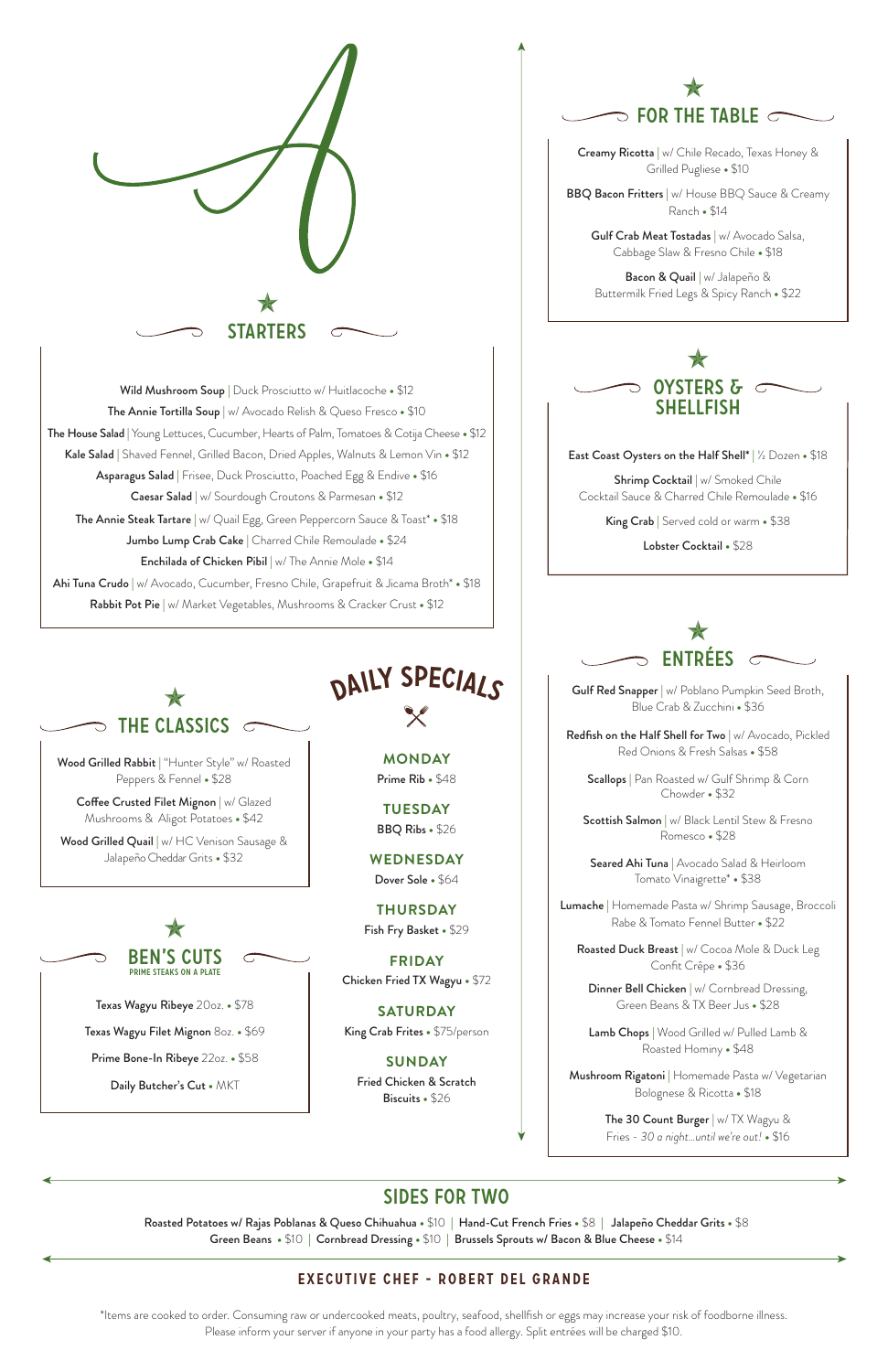# SIDES For Two

Roasted Potatoes w/ Rajas Poblanas & Queso Chihuahua **•** \$10 **|** Hand-Cut French Fries **•** \$8 **|** Jalapeño Cheddar Grits **•** \$8 Green Beans **•** \$10 **|** Cornbread Dressing **•** \$10 **|** Brussels Sprouts w/ Bacon & Blue Cheese **•** \$14

### Executive Chef - Robert Del Grande

Shrimp Cocktail | w/ Smoked Chile Cocktail Sauce & Charred Chile Remoulade **•** \$16

\*Items are cooked to order. Consuming raw or undercooked meats, poultry, seafood, shellfish or eggs may increase your risk of foodborne illness. Please inform your server if anyone in your party has a food allergy. Split entrées will be charged \$10.

Gulf Red Snapper | w/ Poblano Pumpkin Seed Broth, Blue Crab & Zucchini **•** \$36

Scottish Salmon | w/ Black Lentil Stew & Fresno Romesco **•** \$28



Seared Ahi Tuna | Avocado Salad & Heirloom Tomato Vinaigrette\* **•** \$38

East Coast Oysters on the Half Shell\* | ½ Dozen **•** \$18

Roasted Duck Breast | w/ Cocoa Mole & Duck Leg Confit Crêpe **•** \$36

Dinner Bell Chicken | w/ Cornbread Dressing, Green Beans & TX Beer Jus **•** \$28

King Crab | Served cold or warm **•** \$38

Lobster Cocktail **•** \$28



**BBQ Bacon Fritters** | w/ House BBQ Sauce & Creamy Ranch **•** \$14

Redfish on the Half Shell for Two | w/ Avocado, Pickled Red Onions & Fresh Salsas **•** \$58

Gulf Crab Meat Tostadas | w/ Avocado Salsa, Cabbage Slaw & Fresno Chile **•** \$18

# The Classics  $\overline{C}$

Scallops | Pan Roasted w/ Gulf Shrimp & Corn Chowder **•** \$32

Wood Grilled Rabbit | "Hunter Style" w/ Roasted Peppers & Fennel **•** \$28

**Coffee Crusted Filet Mignon**  $|w|$  Glazed Mushrooms & Aligot Potatoes **•** \$42

Wood Grilled Quail | w/ HC Venison Sausage & Jalapeño Cheddar Grits **•** \$32

> Lumache | Homemade Pasta w/ Shrimp Sausage, Broccoli Rabe & Tomato Fennel Butter **•** \$22

Lamb Chops | Wood Grilled w/ Pulled Lamb & Roasted Hominy **•** \$48

Mushroom Rigatoni | Homemade Pasta w/ Vegetarian Bolognese & Ricotta **•** \$18

> The 30 Count Burger | w/ TX Wagyu & Fries - *30 a night…until we're out!* **•** \$16



Creamy Ricotta | w/ Chile Recado, Texas Honey & Grilled Pugliese **•** \$10

Bacon & Quail | w/ Jalapeño & Buttermilk Fried Legs & Spicy Ranch **•** \$22



Texas Wagyu Ribeye 20oz. **•** \$78

Texas Wagyu Filet Mignon 8oz. **•** \$69

Prime Bone-In Ribeye 22oz. **•** \$58

Daily Butcher's Cut **•** MKT

STARTERS

Wild Mushroom Soup | Duck Prosciutto w/ Huitlacoche **•** \$12 The Annie Tortilla Soup | w/ Avocado Relish & Queso Fresco **•** \$10 The House Salad | Young Lettuces, Cucumber, Hearts of Palm, Tomatoes & Cotija Cheese **•** \$12 Kale Salad | Shaved Fennel, Grilled Bacon, Dried Apples, Walnuts & Lemon Vin **•** \$12 Asparagus Salad | Frisee, Duck Prosciutto, Poached Egg & Endive **•** \$16 Caesar Salad | w/ Sourdough Croutons & Parmesan **•** \$12 The Annie Steak Tartare | w/ Quail Egg, Green Peppercorn Sauce & Toast\* **•** \$18 Jumbo Lump Crab Cake | Charred Chile Remoulade **•** \$24 Enchilada of Chicken Pibil | w/ The Annie Mole **•** \$14 Ahi Tuna Crudo | w/ Avocado, Cucumber, Fresno Chile, Grapefruit & Jicama Broth\* **•** \$18 Rabbit Pot Pie | w/ Market Vegetables, Mushrooms & Cracker Crust **•** \$12

> **MONDAY** Prime Rib **•** \$48

**TUESDAY** BBQ Ribs **•** \$26

**WEDNESDAY** Dover Sole **•** \$64

**THURSDAY** Fish Fry Basket **•** \$29

**FRIDAY** Chicken Fried TX Wagyu **•** \$72

**SATURDAY**

King Crab Frites **•** \$75/person

**SUNDAY**

Fried Chicken & Scratch Biscuits **•** \$26